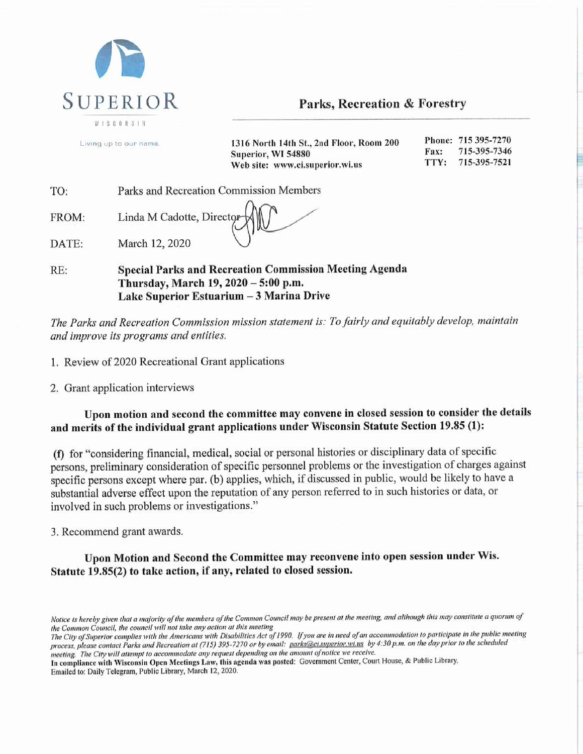

## Parks, Recreation & Forestry

|     | Living up to our name. | 1316 North 14th St., 2nd Floor, Room 200<br>Superior, WI 54880<br>Web site: www.ci.superior.wi.us | Fax:<br>TTY: | Phone: 715 395-7270<br>715-395-7346<br>715-395-7521 |
|-----|------------------------|---------------------------------------------------------------------------------------------------|--------------|-----------------------------------------------------|
| ГO: |                        | Parks and Recreation Commission Members                                                           |              |                                                     |

DATE: March 12, 2020

FROM:

**Special Parks and Recreation Commission Meeting Agenda** RE: Thursday, March 19, 2020 - 5:00 p.m. Lake Superior Estuarium - 3 Marina Drive

The Parks and Recreation Commission mission statement is: To fairly and equitably develop, maintain and improve its programs and entities.

1. Review of 2020 Recreational Grant applications

Linda M Cadotte, Director

2. Grant application interviews

Upon motion and second the committee may convene in closed session to consider the details and merits of the individual grant applications under Wisconsin Statute Section 19.85 (1):

(f) for "considering financial, medical, social or personal histories or disciplinary data of specific persons, preliminary consideration of specific personnel problems or the investigation of charges against specific persons except where par. (b) applies, which, if discussed in public, would be likely to have a substantial adverse effect upon the reputation of any person referred to in such histories or data, or involved in such problems or investigations."

3. Recommend grant awards.

Upon Motion and Second the Committee may reconvene into open session under Wis. Statute 19.85(2) to take action, if any, related to closed session.

In compliance with Wisconsin Open Meetings Law, this agenda was posted: Government Center, Court House, & Public Library, Emailed to: Daily Telegram, Public Library, March 12, 2020.

Notice is hereby given that a majority of the members of the Common Council may be present at the meeting, and although this may constitute a quorum of the Common Council, the council will not take any action at this meeting

The City of Superior complies with the Americans with Disabilities Act of 1990. If you are in need of an accommodation to participate in the public meeting process, please contact Parks and Recreation at (715) 395-7270 or by email: parks@ci.superior.wi.us by 4:30 p.m. on the day prior to the scheduled meeting. The City will attempt to accommodate any request depending on the amount of notice we receive.